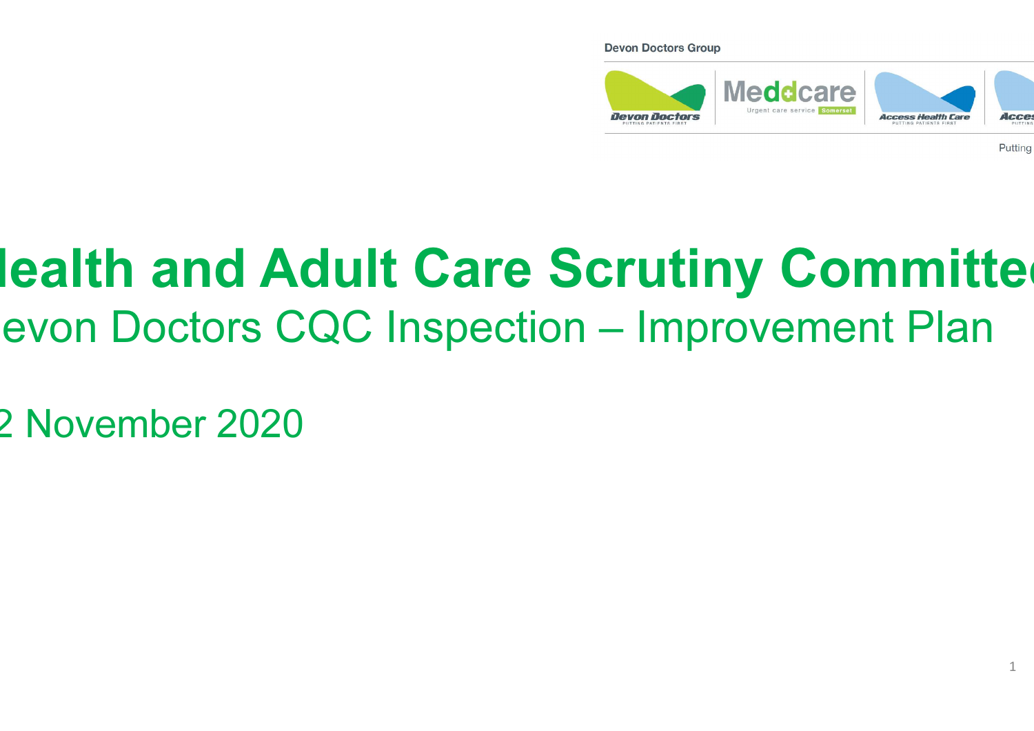#### **Devon Doctors Group**



Putting

### lealth and Adult Care Scrutiny Committe evon Doctors CQC Inspection – Improvement Plan

12 November 2020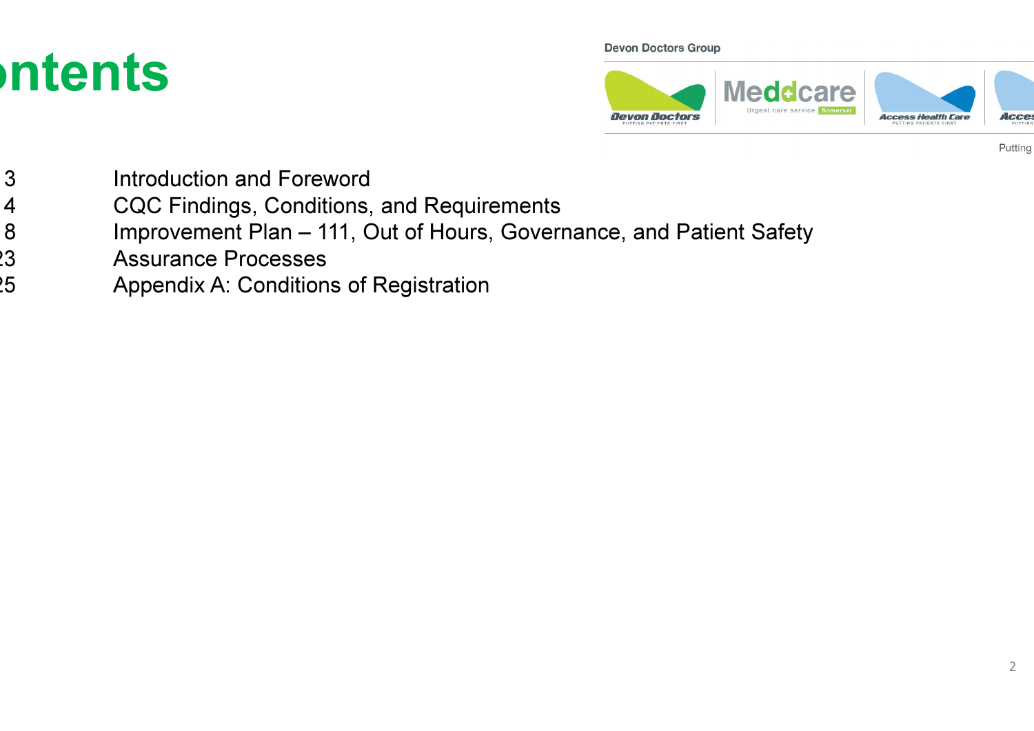## ntents

#### **Devon Doctors Group**



- $3$ Introduction and Foreword
- $\overline{4}$ CQC Findings, Conditions, and Requirements
- Slide 8Improvement Plan – 111, Out of Hours, Governance, and Patient Safety
- $\overline{3}$ Assurance Processes
- $25$ Appendix A: Conditions of Registration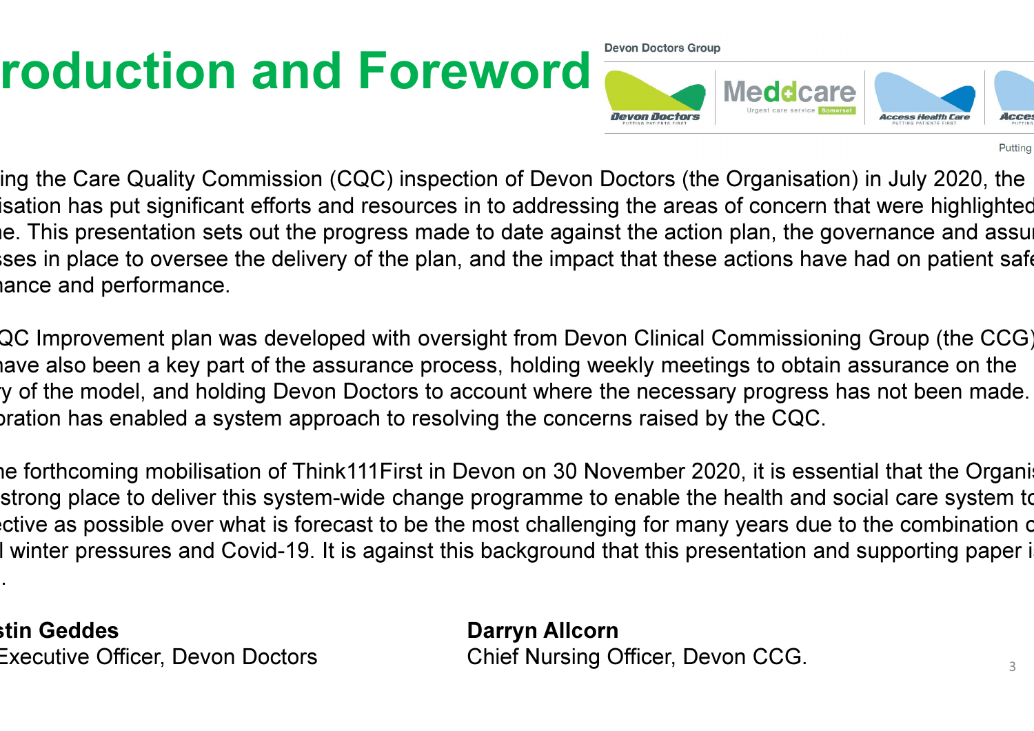# roduction and Foreword

**Devon Doctors Group** 



Putting

ing the Care Quality Commission (CQC) inspection of Devon Doctors (the Organisation) in July 2020, the isation has put significant efforts and resources in to addressing the areas of concern that were highlighted e. This presentation sets out the progress made to date against the action plan, the governance and assurance ises in place to oversee the delivery of the plan, and the impact that these actions have had on patient safet ance and performance.

QC Improvement plan was developed with oversight from Devon Clinical Commissioning Group (the CCG) iave also been a key part of the assurance process, holding weekly meetings to obtain assurance on the y of the model, and holding Devon Doctors to account where the necessary progress has not been made. oration has enabled a system approach to resolving the concerns raised by the CQC.

ne forthcoming mobilisation of Think111First in Devon on 30 November 2020, it is essential that the Organi strong place to deliver this system-wide change programme to enable the health and social care system to ctive as possible over what is forecast to be the most challenging for many years due to the combination c I winter pressures and Covid-19. It is against this background that this presentation and supporting paper i

stin Geddes Executive Officer, Devon Doctors

written.

 Darryn Allcorns Chief Nursing Officer, Devon CCG.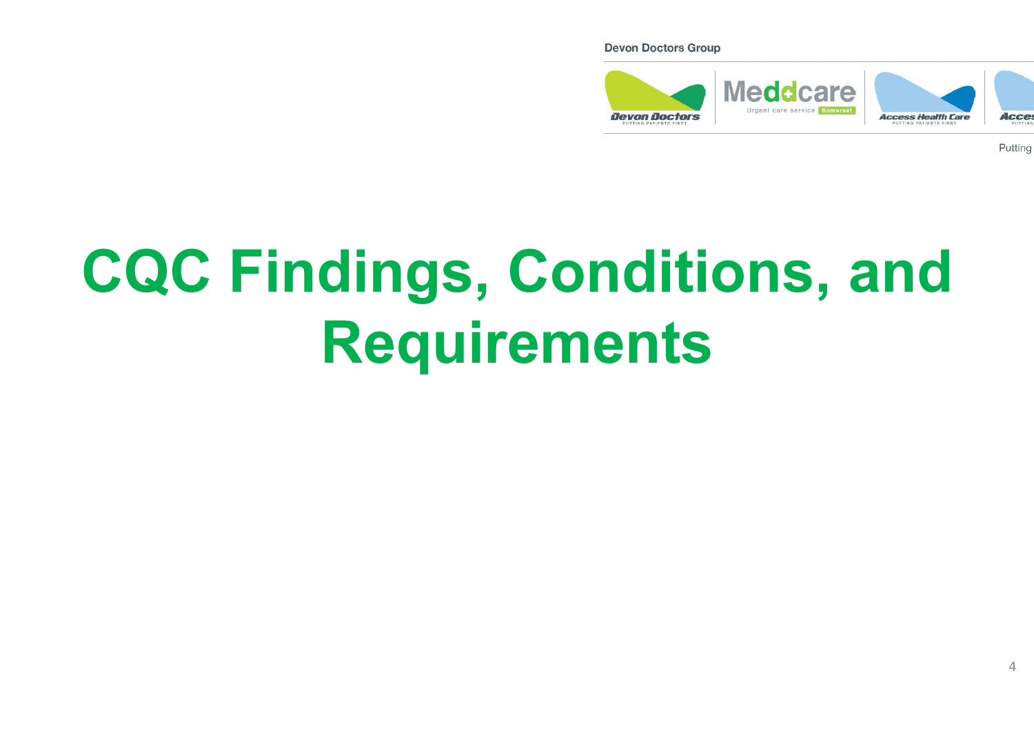#### **Devon Doctors Group**



Putting

# CQC Findings, Conditions, and Requirements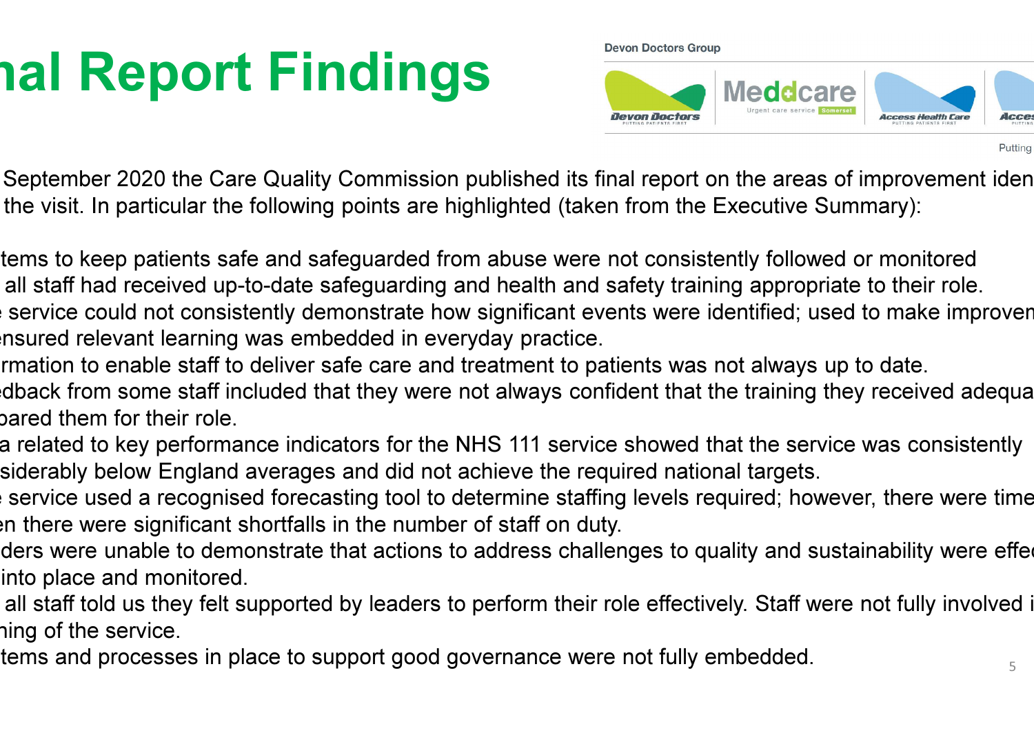# **nal Report Findings**

**Devon Doctors Group** 



Putting

September 2020 the Care Quality Commission published its final report on the areas of improvement identified the visit. In particular the following points are highlighted (taken from the Executive Summary):

tems to keep patients safe and safeguarded from abuse were not consistently followed or monitored all staff had received up-to-date safeguarding and health and safety training appropriate to their role. Service could not consistently demonstrate how significant events were identified; used to make improven nsured relevant learning was embedded in everyday practice.

rmation to enable staff to deliver safe care and treatment to patients was not always up to date.

dback from some staff included that they were not always confident that the training they received adequa pared them for their role.

a related to key performance indicators for the NHS 111 service showed that the service was consistently siderably below England averages and did not achieve the required national targets.

Service used a recognised forecasting tool to determine staffing levels required; however, there were time en there were significant shortfalls in the number of staff on duty.

ders were unable to demonstrate that actions to address challenges to quality and sustainability were effed into place and monitored.

all staff told us they felt supported by leaders to perform their role effectively. Staff were not fully involved i hing of the service.

tems and processes in place to support good governance were not fully embedded.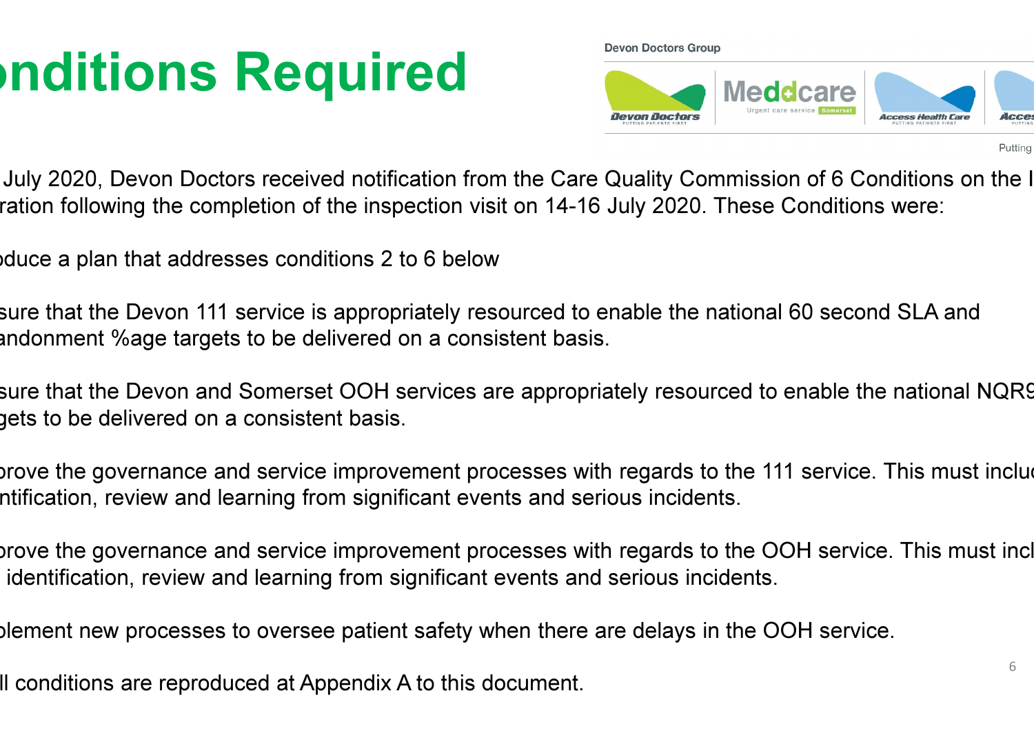# **nditions Required**

**Devon Doctors Group** 



Putting

July 2020, Devon Doctors received notification from the Care Quality Commission of 6 Conditions on the I ration following the completion of the inspection visit on 14-16 July 2020. These Conditions were:

duce a plan that addresses conditions 2 to 6 below

sure that the Devon 111 service is appropriately resourced to enable the national 60 second SLA and andonment %age targets to be delivered on a consistent basis.

sure that the Devon and Somerset OOH services are appropriately resourced to enable the national NQR9 gets to be delivered on a consistent basis.

Inprove the governance and service improvement processes with regards to the 111 service. This must inclue ntification, review and learning from significant events and serious incidents.

Improve the governance and service improvement processes with regards to the OOH service. This must include to identification, review and learning from significant events and serious incidents.

Implement new processes to oversee patient safety when there are delays in the OOH service.

Il conditions are reproduced at Appendix A to this document.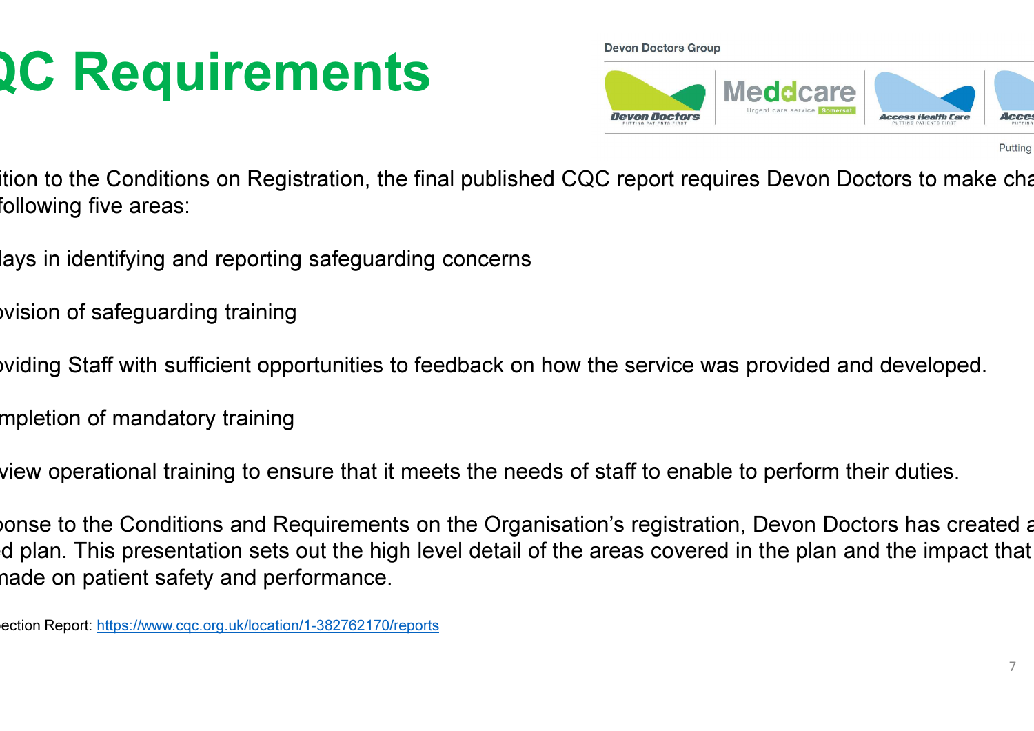# **2C Requirements**

**Devon Doctors Group** 



- ition to the Conditions on Registration, the final published CQC report requires Devon Doctors to make cha following five areas:
- lays in identifying and reporting safeguarding concerns
- vision of safeguarding training
- viding Staff with sufficient opportunities to feedback on how the service was provided and developed.
- mpletion of mandatory training
- view operational training to ensure that it meets the needs of staff to enable to perform their duties.
- vonse to the Conditions and Requirements on the Organisation's registration, Devon Doctors has created a d plan. This presentation sets out the high level detail of the areas covered in the plan and the impact that nade on patient safety and performance.
- ection Report: https://www.cqc.org.uk/location/1-382762170/reports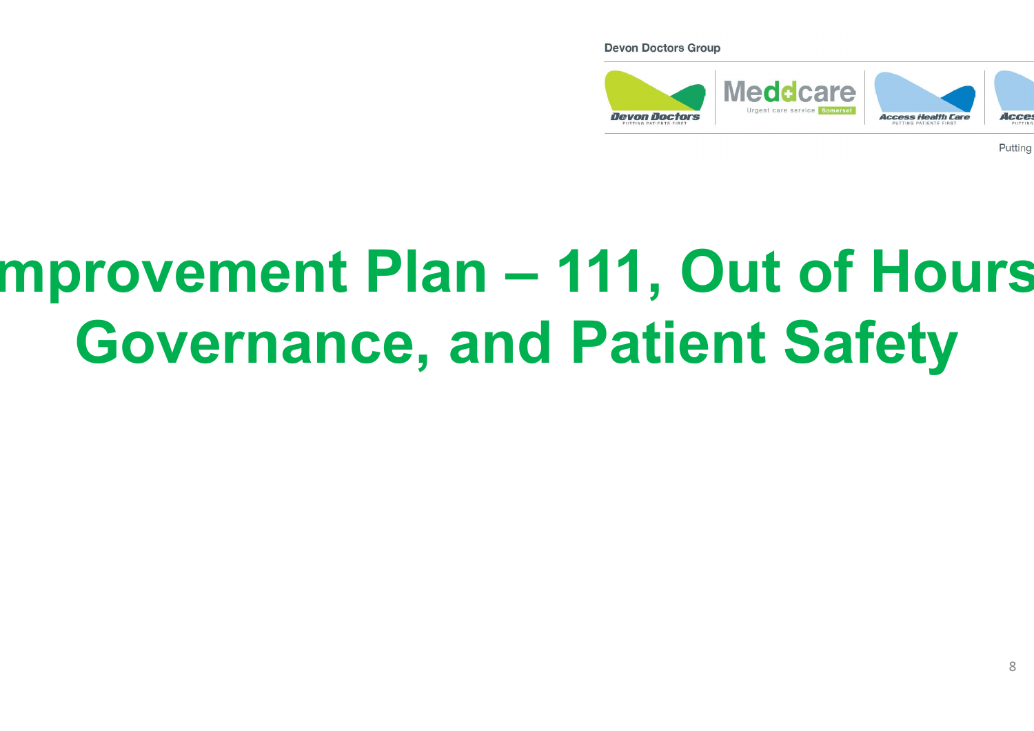**Devon Doctors Group** 



Putting

#### mprovement Plan - 111, Out of Hours Governance, and Patient Safety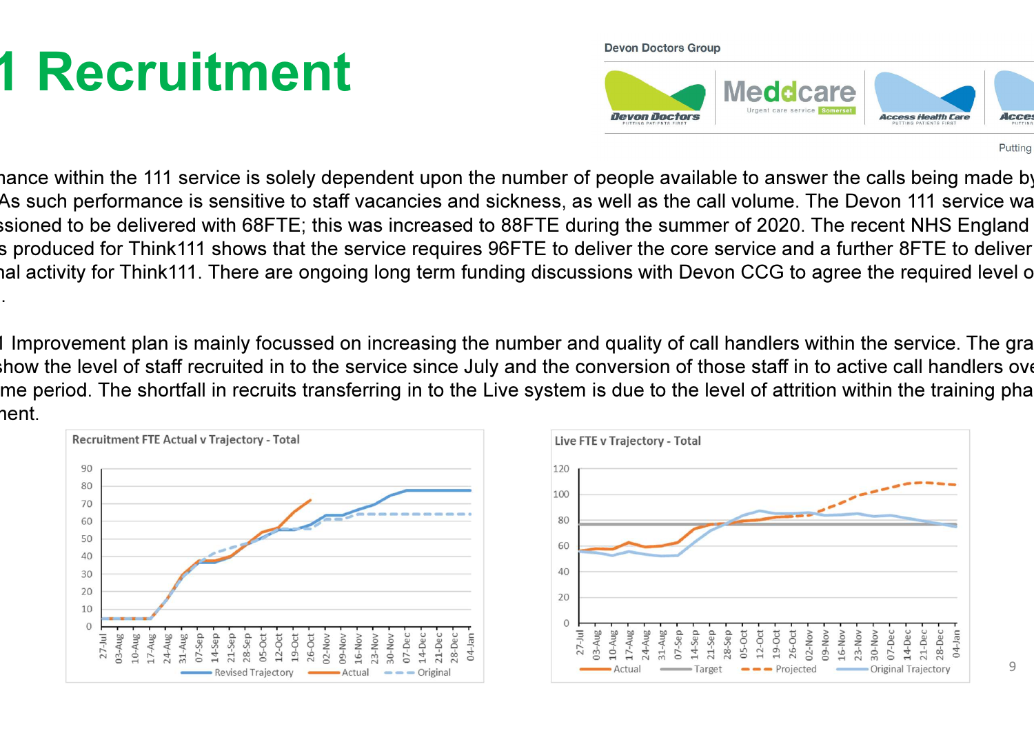# 1 Recruitment

**Devon Doctors Group** 



Putting

iance within the 111 service is solely dependent upon the number of people available to answer the calls being made by As such performance is sensitive to staff vacancies and sickness, as well as the call volume. The Devon 111 service wa ssioned to be delivered with 68FTE; this was increased to 88FTE during the summer of 2020. The recent NHS England s produced for Think111 shows that the service requires 96FTE to deliver the core service and a further 8FTE to deliver ad activity for Think111. There are ongoing long term funding discussions with Devon CCG to agree the required level o funding.

I Improvement plan is mainly focussed on increasing the number and quality of call handlers within the service. The gra blow the level of staff recruited in to the service since July and the conversion of those staff in to active call handlers over the service of the service of the service of the service of the service of the service of the me period. The shortfall in recruits transferring in to the Live system is due to the level of attrition within the training pha nent.



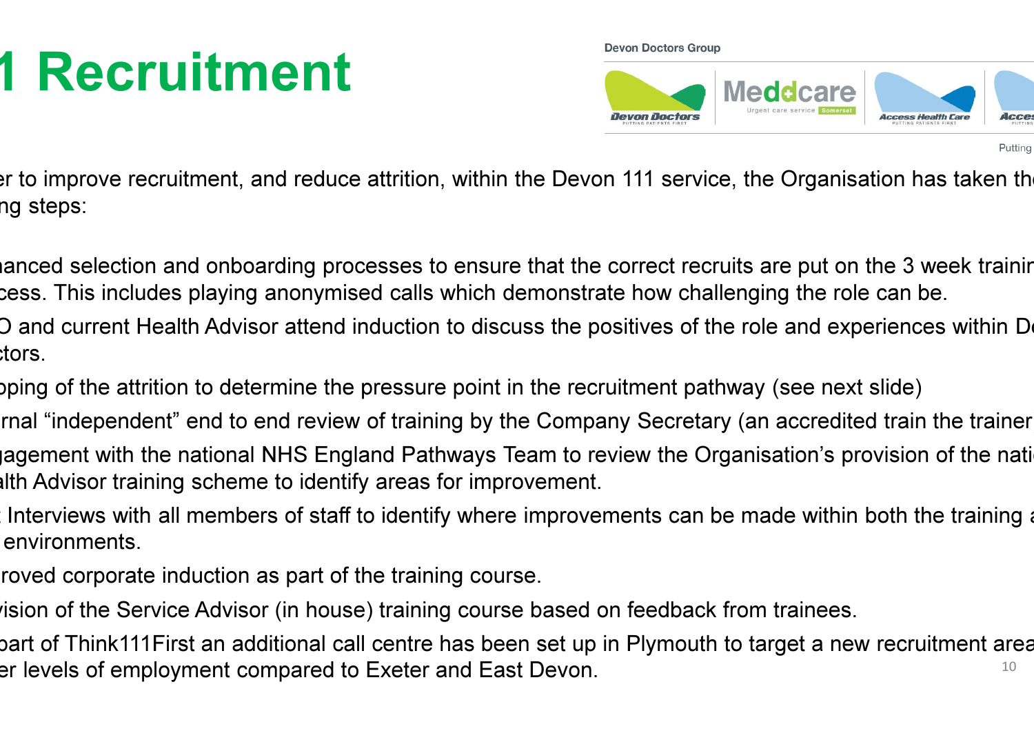# **1 Recruitment**

**Devon Doctors Group** 



Putting

In to improve recruitment, and reduce attrition, within the Devon 111 service, the Organisation has taken the ng steps:

ianced selection and onboarding processes to ensure that the correct recruits are put on the 3 week trainin cess. This includes playing anonymised calls which demonstrate how challenging the role can be.

D and current Health Advisor attend induction to discuss the positives of the role and experiences within Devo :tors.

oping of the attrition to determine the pressure point in the recruitment pathway (see next slide)

rnal "independent" end to end review of training by the Company Secretary (an accredited train the trainer agement with the national NHS England Pathways Team to review the Organisation's provision of the national alth Advisor training scheme to identify areas for improvement.

Interviews with all members of staff to identify where improvements can be made within both the training and environments.

roved corporate induction as part of the training course.

rision of the Service Advisor (in house) training course based on feedback from trainees.

10bart of Think111First an additional call centre has been set up in Plymouth to target a new recruitment area er levels of employment compared to Exeter and East Devon.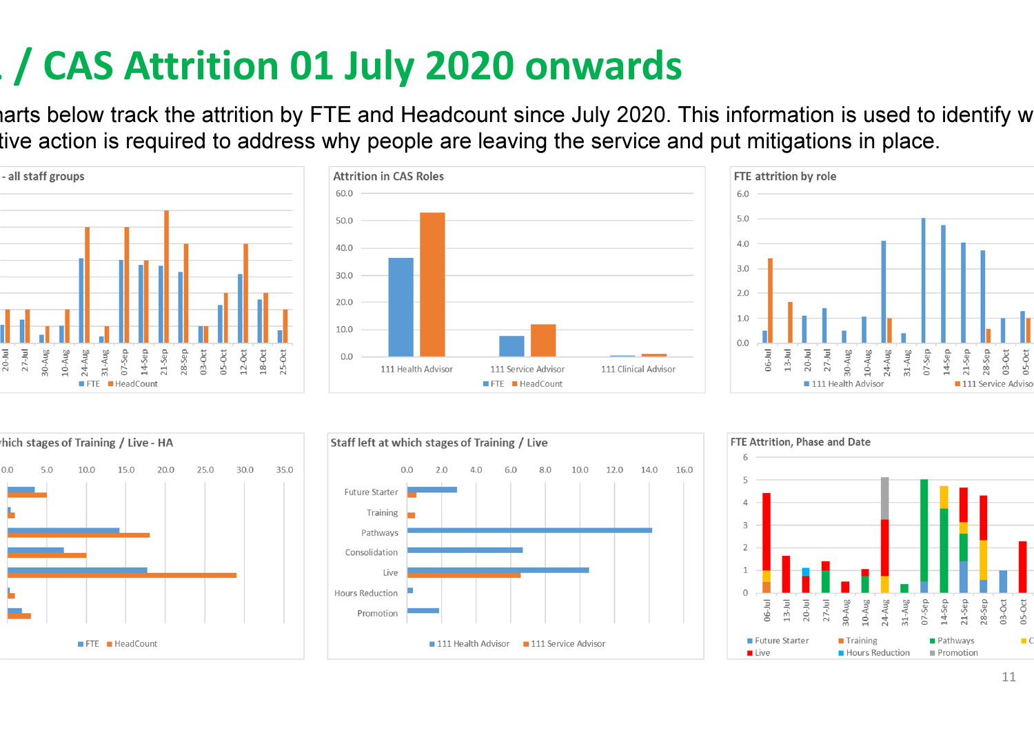### 111 / CAS Attrition 01 July 2020 onwards

iarts below track the attrition by FTE and Headcount since July 2020. This information is used to identify w tive action is required to address why people are leaving the service and put mitigations in place.











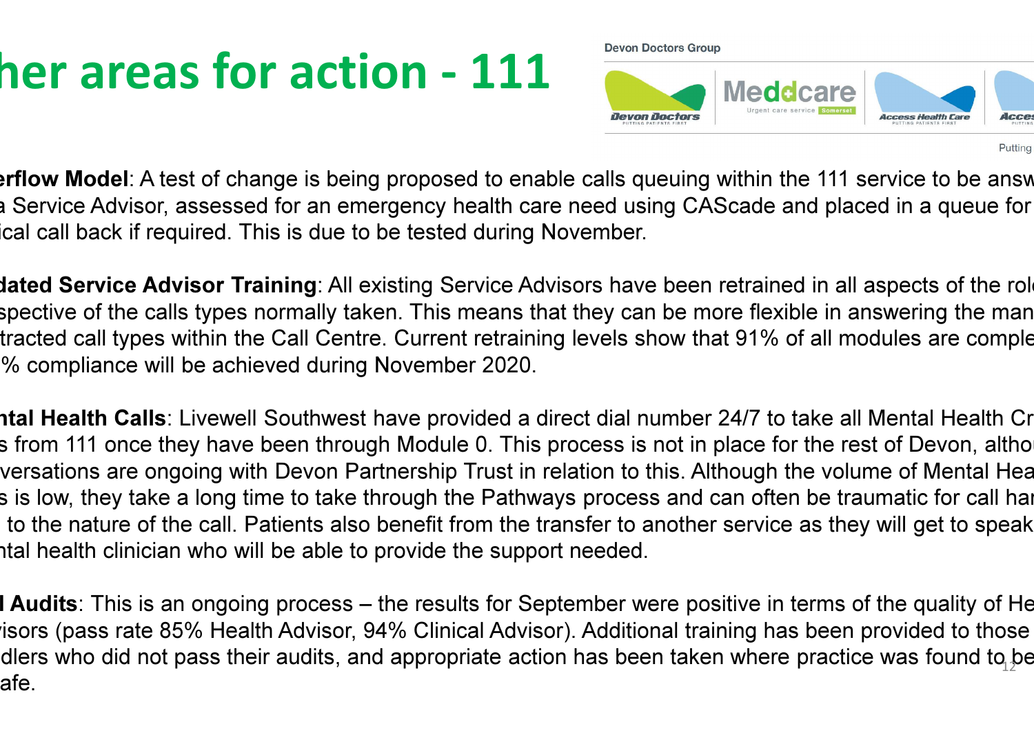## her areas for action - 111

**Devon Doctors Group** 



Putting

erflow Model: A test of change is being proposed to enable calls queuing within the 111 service to be answ a Service Advisor, assessed for an emergency health care need using CAScade and placed in a queue for cal call back if required. This is due to be tested during November.

dated Service Advisor Training: All existing Service Advisors have been retrained in all aspects of the role spective of the calls types normally taken. This means that they can be more flexible in answering the man tracted call types within the Call Centre. Current retraining levels show that 91% of all modules are comple 100% compliance will be achieved during November 2020.

**ntal Health Calls**: Livewell Southwest have provided a direct dial number 24/7 to take all Mental Health Cr s from 111 once they have been through Module 0. This process is not in place for the rest of Devon, altho versations are ongoing with Devon Partnership Trust in relation to this. Although the volume of Mental Hea s is low, they take a long time to take through the Pathways process and can often be traumatic for call hai to the nature of the call. Patients also benefit from the transfer to another service as they will get to speak ntal health clinician who will be able to provide the support needed.

**I Audits**: This is an ongoing process – the results for September were positive in terms of the quality of He isors (pass rate 85% Health Advisor, 94% Clinical Advisor). Additional training has been provided to those dlers who did not pass their audits, and appropriate action has been taken where practice was found to  $\beta$ e afe.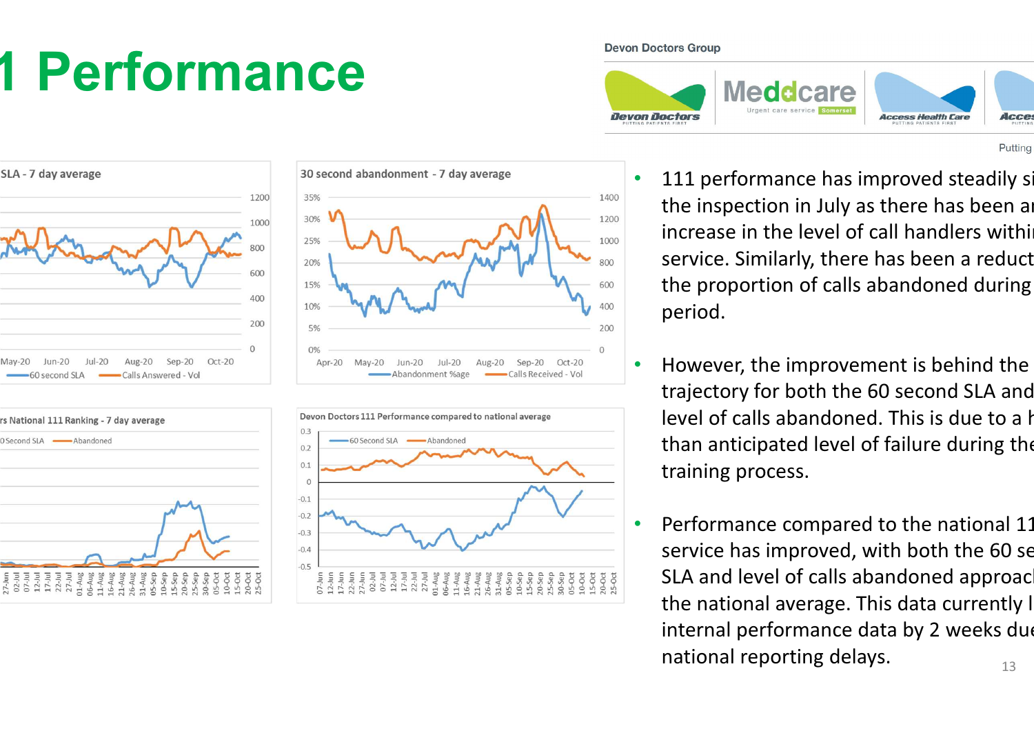# 1 Performance

35%

30%

25%

20%

15%

10%

5%

 $0%$ 

Apr-20

1200

1000

800

600

400

200

SLA - 7 day average

 $l$ un-20



 $Aug-20$ 

Sep-20

-Calls Received - Vol



 $Sep-20$ 

Calls Answered - Vol

Oct-20

 $Alu$ <sub>2</sub>-20



Abandonment %age

**Devon Doctors Group** 

 $\Omega$ 

Oct-20



- 111 performance has improved steadily single the inspection in July as there has been an increase in the level of call handlers within service. Similarly, there has been a reduct the proportion of calls abandoned during period.
- • However, the improvement is behind the trajectory for both the 60 second SLA and level of calls abandoned. This is due to a higher than anticipated level of failure during the training process.
- 13•Performance compared to the national 11 service has improved, with both the 60 second SLA and level of calls abandoned approaching the national average. This data currently I internal performance data by 2 weeks due national reporting delays.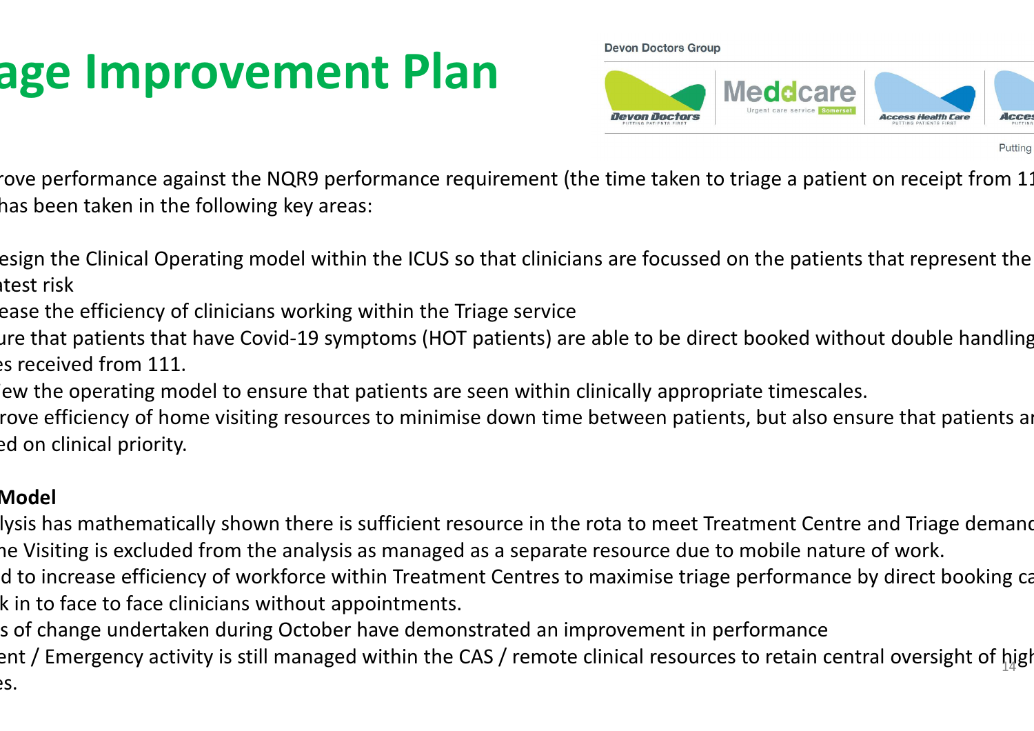## age Improvement Plan

**Devon Doctors Group** 



Putting

rove performance against the NQR9 performance requirement (the time taken to triage a patient on receipt from 11 has been taken in the following key areas:

- esign the Clinical Operating model within the ICUS so that clinicians are focussed on the patients that represent the itest risk
- ease the efficiency of clinicians working within the Triage service
- ure that patients that have Covid-19 symptoms (HOT patients) are able to be direct booked without double handling  $es$  received from 111.
	- ew the operating model to ensure that patients are seen within clinically appropriate timescales.
	- rove efficiency of home visiting resources to minimise down time between patients, but also ensure that patients ar ed on clinical priority.

#### Model

- lysis has mathematically shown there is sufficient resource in the rota to meet Treatment Centre and Triage demand ne Visiting is excluded from the analysis as managed as a separate resource due to mobile nature of work.
- d to increase efficiency of workforce within Treatment Centres to maximise triage performance by direct booking ca k in to face to face clinicians without appointments.
- s of change undertaken during October have demonstrated an improvement in performance
- $\rm{ent}$  / Emergency activity is still managed within the CAS / remote clinical resources to retain central oversight of  $\rm{h}$ igh es.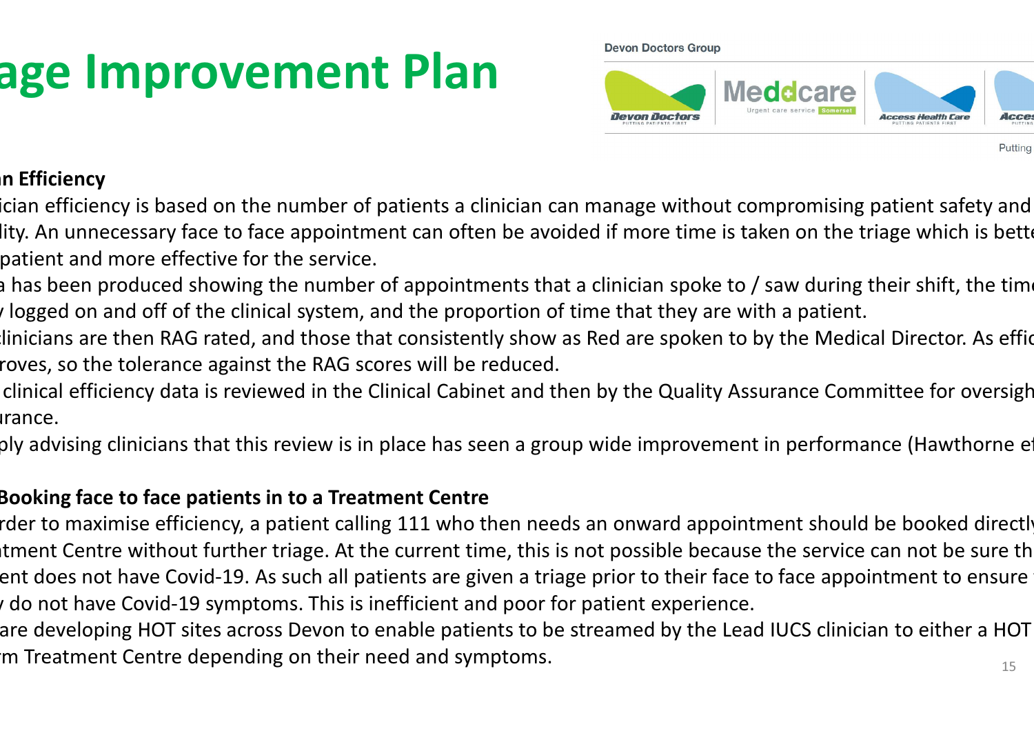## age Improvement Plan

**Devon Doctors Group** 



n Efficiency

ician efficiency is based on the number of patients a clinician can manage without compromising patient safety and lity. An unnecessary face to face appointment can often be avoided if more time is taken on the triage which is bett patient and more effective for the service.

a has been produced showing the number of appointments that a clinician spoke to / saw during their shift, the time I logged on and off of the clinical system, and the proportion of time that they are with a patient.

linicians are then RAG rated, and those that consistently show as Red are spoken to by the Medical Director. As effic roves, so the tolerance against the RAG scores will be reduced.

clinical efficiency data is reviewed in the Clinical Cabinet and then by the Quality Assurance Committee for oversigh arance.

ply advising clinicians that this review is in place has seen a group wide improvement in performance (Hawthorne e

#### Booking face to face patients in to a Treatment Centre

rder to maximise efficiency, a patient calling 111 who then needs an onward appointment should be booked directly tment Centre without further triage. At the current time, this is not possible because the service can not be sure th ent does not have Covid-19. As such all patients are given a triage prior to their face to face appointment to ensure  $\alpha$  do not have Covid-19 symptoms. This is inefficient and poor for patient experience.

are developing HOT sites across Devon to enable patients to be streamed by the Lead IUCS clinician to either a HOT m Treatment Centre depending on their need and symptoms.  $\cdot$  15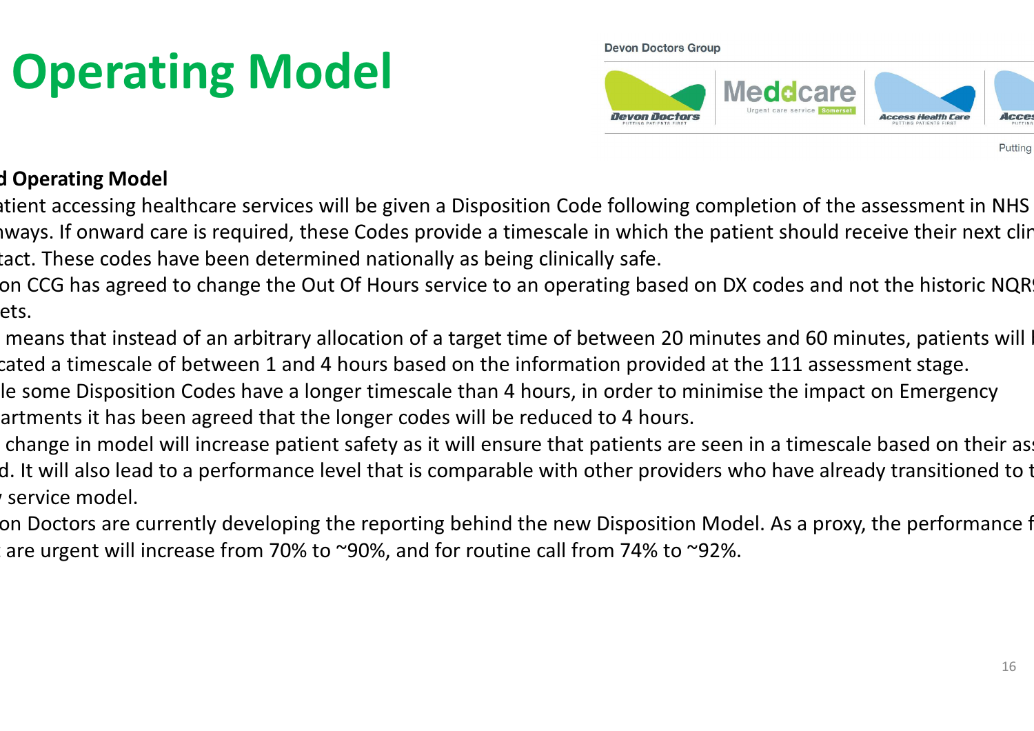# **Operating Model**

**Devon Doctors Group** 



d Operating Model

atient accessing healthcare services will be given a Disposition Code following completion of the assessment in NHS Iways. If onward care is required, these Codes provide a timescale in which the patient should receive their next clir tact. These codes have been determined nationally as being clinically safe.

on CCG has agreed to change the Out Of Hours service to an operating based on DX codes and not the historic NQR ets.

means that instead of an arbitrary allocation of a target time of between 20 minutes and 60 minutes, patients will cated a timescale of between 1 and 4 hours based on the information provided at the 111 assessment stage.

le some Disposition Codes have a longer timescale than 4 hours, in order to minimise the impact on Emergency artments it has been agreed that the longer codes will be reduced to 4 hours.

change in model will increase patient safety as it will ensure that patients are seen in a timescale based on their as d. It will also lead to a performance level that is comparable with other providers who have already transitioned to t service model.

on Doctors are currently developing the reporting behind the new Disposition Model. As a proxy, the performance f are urgent will increase from 70% to ~90%, and for routine call from 74% to ~92%.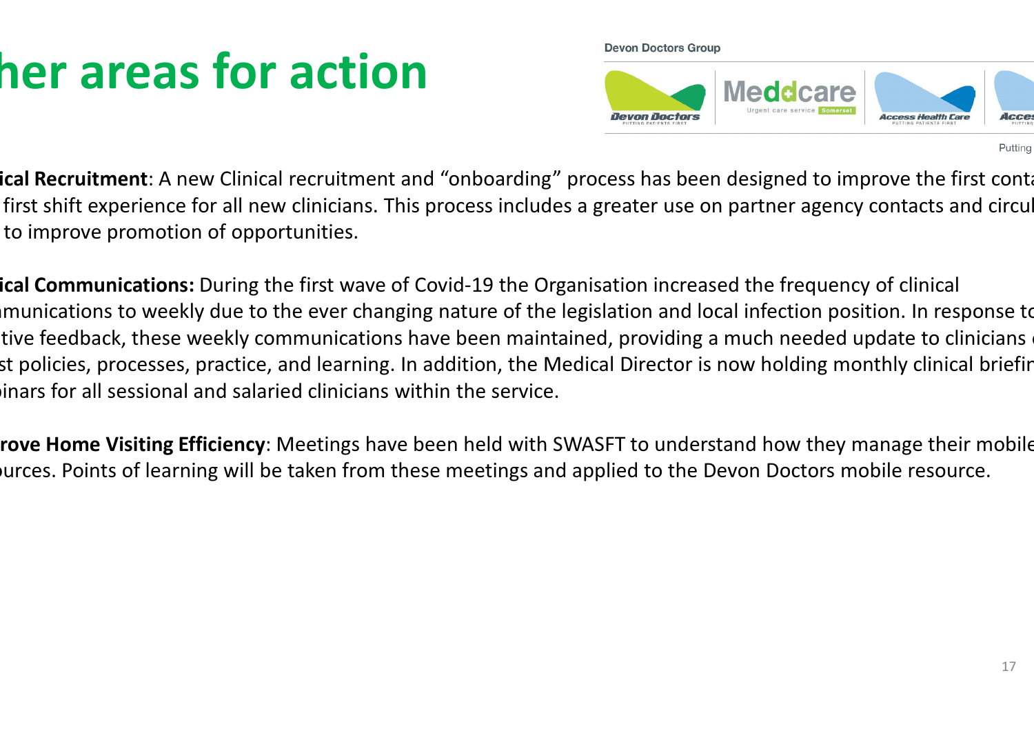# her areas for action

**Devon Doctors Group** 



Putting

ical Recruitment: A new Clinical recruitment and "onboarding" process has been designed to improve the first conta first shift experience for all new clinicians. This process includes a greater use on partner agency contacts and circul to improve promotion of opportunities.

ical Communications: During the first wave of Covid-19 the Organisation increased the frequency of clinical munications to weekly due to the ever changing nature of the legislation and local infection position. In response to tive feedback, these weekly communications have been maintained, providing a much needed update to clinicians st policies, processes, practice, and learning. In addition, the Medical Director is now holding monthly clinical briefir inars for all sessional and salaried clinicians within the service.

rove Home Visiting Efficiency: Meetings have been held with SWASFT to understand how they manage their mobile ources. Points of learning will be taken from these meetings and applied to the Devon Doctors mobile resource.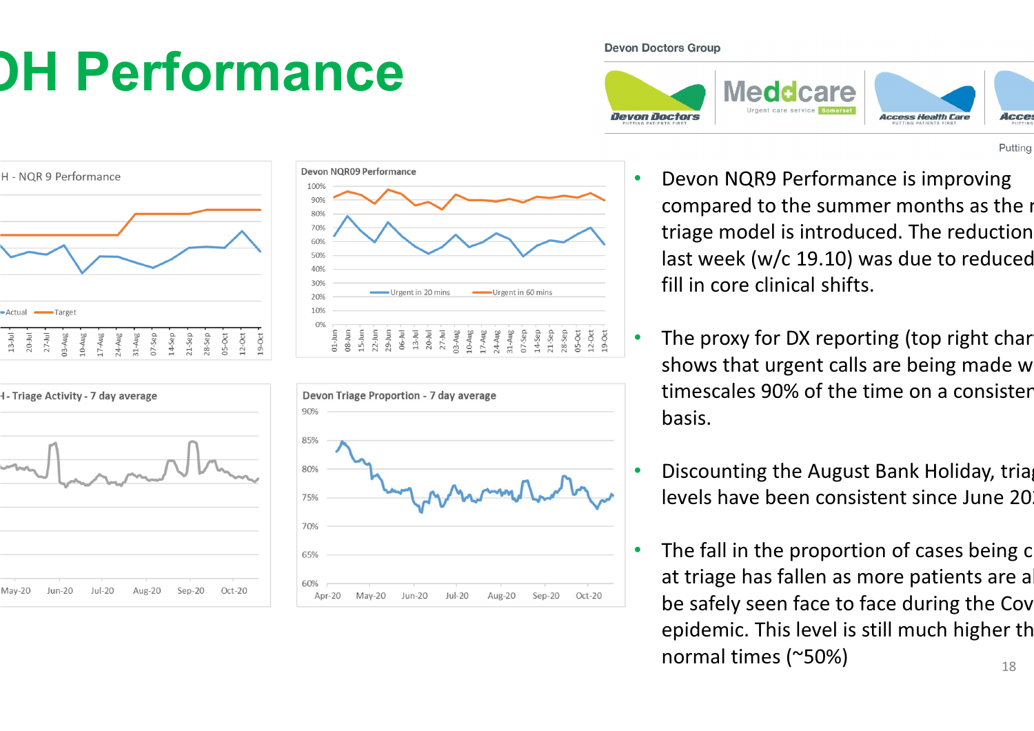# **OH Performance**

#### **Devon Doctors Group**

•

•

•

•











- Devon NQR9 Performance is improving compared to the summer months as the new triage model is introduced. The reduction last week ( $w/c$  19.10) was due to reduced fill in core clinical shifts.
- The proxy for DX reporting (top right char shows that urgent calls are being made w timescales 90% of the time on a consister basis.
- Discounting the August Bank Holiday, triag levels have been consistent since June 20
- 18The fall in the proportion of cases being c at triage has fallen as more patients are a be safely seen face to face during the Cov epidemic. This level is still much higher th normal times (~50%)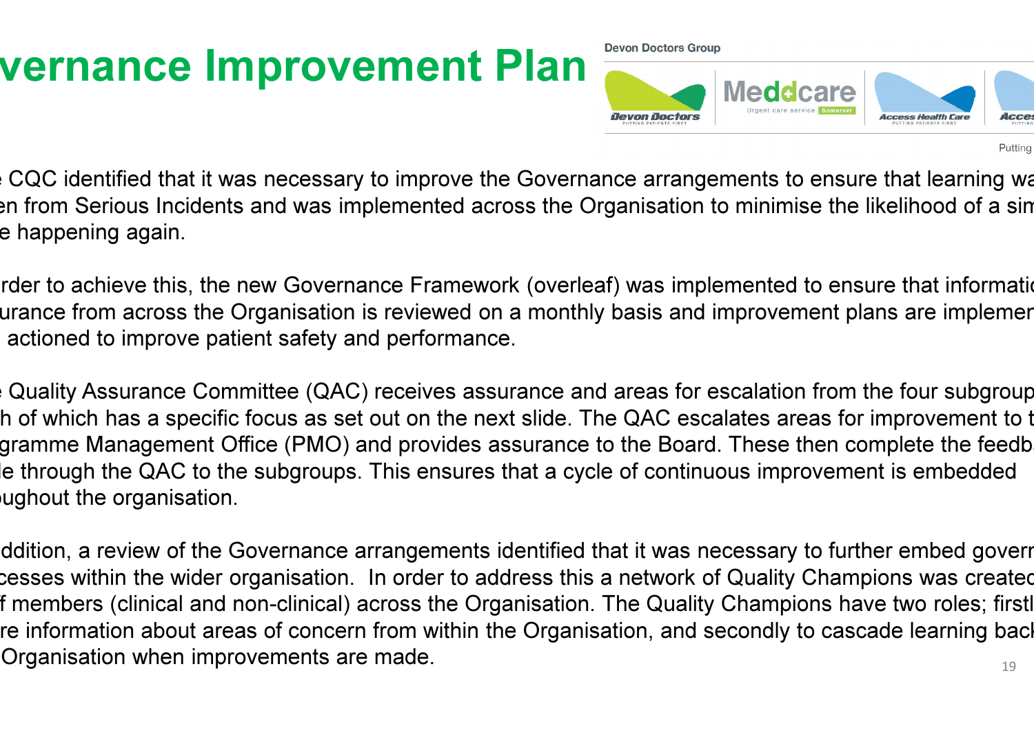### vernance Improvement Plan

**Devon Doctors Group** 



Putting

The GQC identified that it was necessary to improve the Governance arrangements to ensure that learning was en from Serious Incidents and was implemented across the Organisation to minimise the likelihood of a sin e happening again.

rder to achieve this, the new Governance Framework (overleaf) was implemented to ensure that information urance from across the Organisation is reviewed on a monthly basis and improvement plans are implemer actioned to improve patient safety and performance.

Quality Assurance Committee (QAC) receives assurance and areas for escalation from the four subgroup h of which has a specific focus as set out on the next slide. The QAC escalates areas for improvement to t gramme Management Office (PMO) and provides assurance to the Board. These then complete the feedb le through the QAC to the subgroups. This ensures that a cycle of continuous improvement is embedded ughout the organisation.

19ddition, a review of the Governance arrangements identified that it was necessary to further embed goverr cesses within the wider organisation. In order to address this a network of Quality Champions was created f members (clinical and non-clinical) across the Organisation. The Quality Champions have two roles; firstl re information about areas of concern from within the Organisation, and secondly to cascade learning bacl Organisation when improvements are made.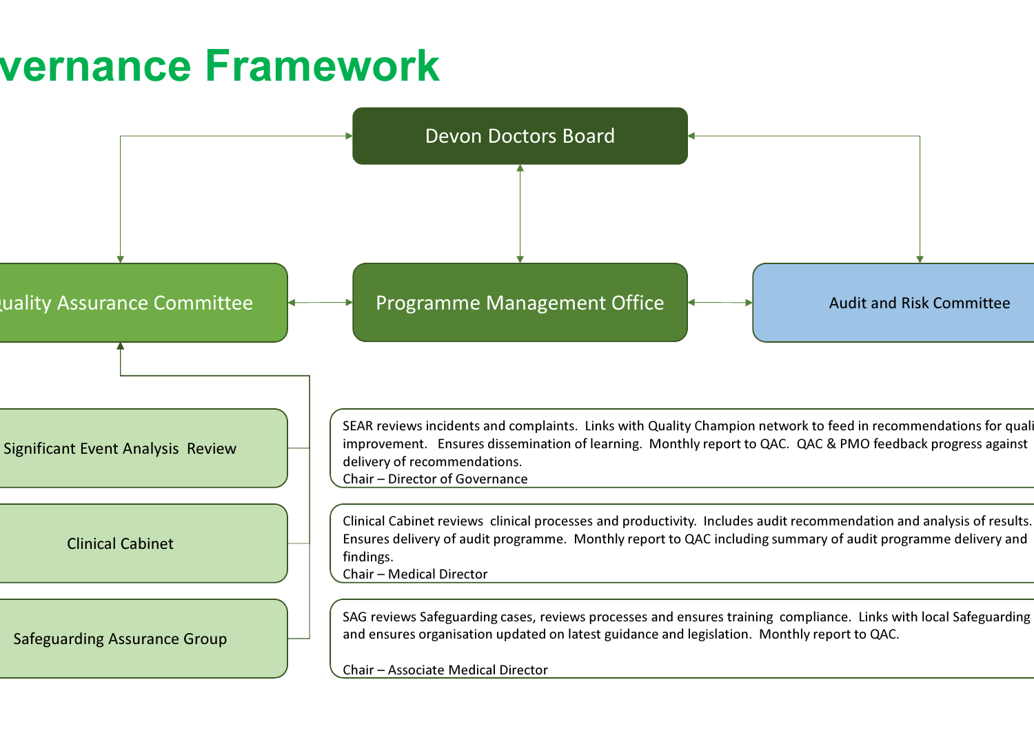#### vernance Framework

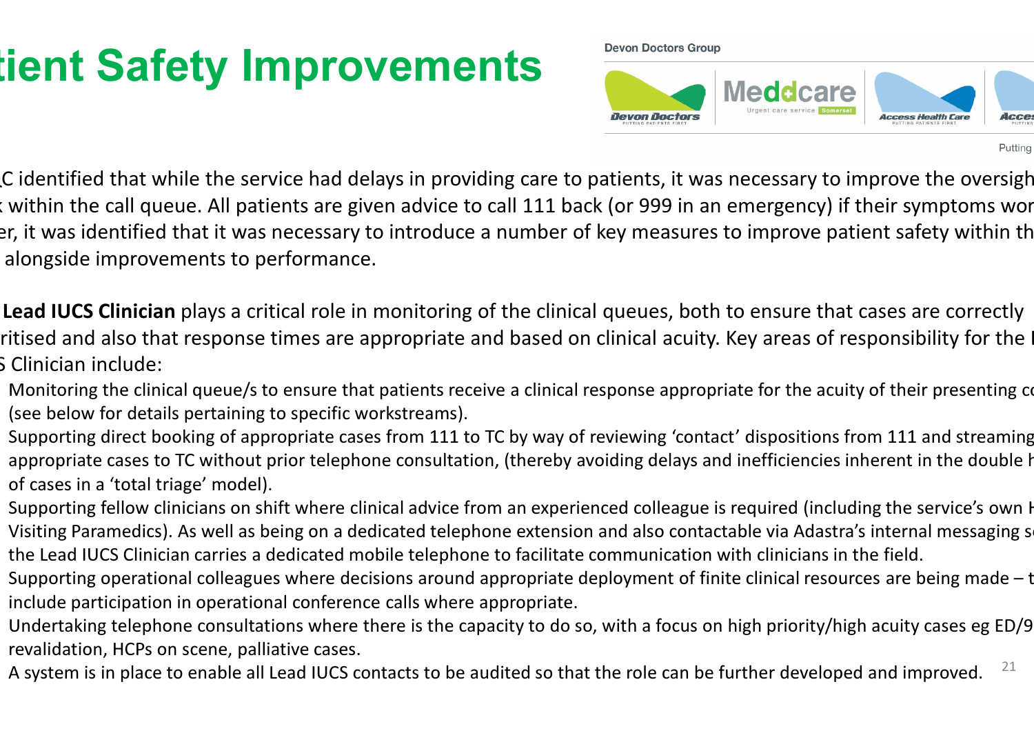### tient Safety Improvements

**Devon Doctors Group** 



Putting

C identified that while the service had delays in providing care to patients, it was necessary to improve the oversigh t within the call queue. All patients are given advice to call 111 back (or 999 in an emergency) if their symptoms wor er, it was identified that it was necessary to introduce a number of key measures to improve patient safety within th alongside improvements to performance.

Lead IUCS Clinician plays a critical role in monitoring of the clinical queues, both to ensure that cases are correctly ritised and also that response times are appropriate and based on clinical acuity. Key areas of responsibility for the I S Clinician include:

- Monitoring the clinical queue/s to ensure that patients receive a clinical response appropriate for the acuity of their presenting conditional conditions. (see below for details pertaining to specific workstreams).
- Supporting direct booking of appropriate cases from 111 to TC by way of reviewing 'contact' dispositions from 111 and streaming appropriate cases to TC without prior telephone consultation, (thereby avoiding delays and inefficiencies inherent in the double h of cases in a 'total triage' model).
- Supporting fellow clinicians on shift where clinical advice from an experienced colleague is required (including the service's own H Visiting Paramedics). As well as being on a dedicated telephone extension and also contactable via Adastra's internal messaging s the Lead IUCS Clinician carries a dedicated mobile telephone to facilitate communication with clinicians in the field.
- Supporting operational colleagues where decisions around appropriate deployment of finite clinical resources are being made  $-$  t include participation in operational conference calls where appropriate.
- Undertaking telephone consultations where there is the capacity to do so, with a focus on high priority/high acuity cases eg ED/9 revalidation, HCPs on scene, palliative cases.
- 21A system is in place to enable all Lead IUCS contacts to be audited so that the role can be further developed and improved.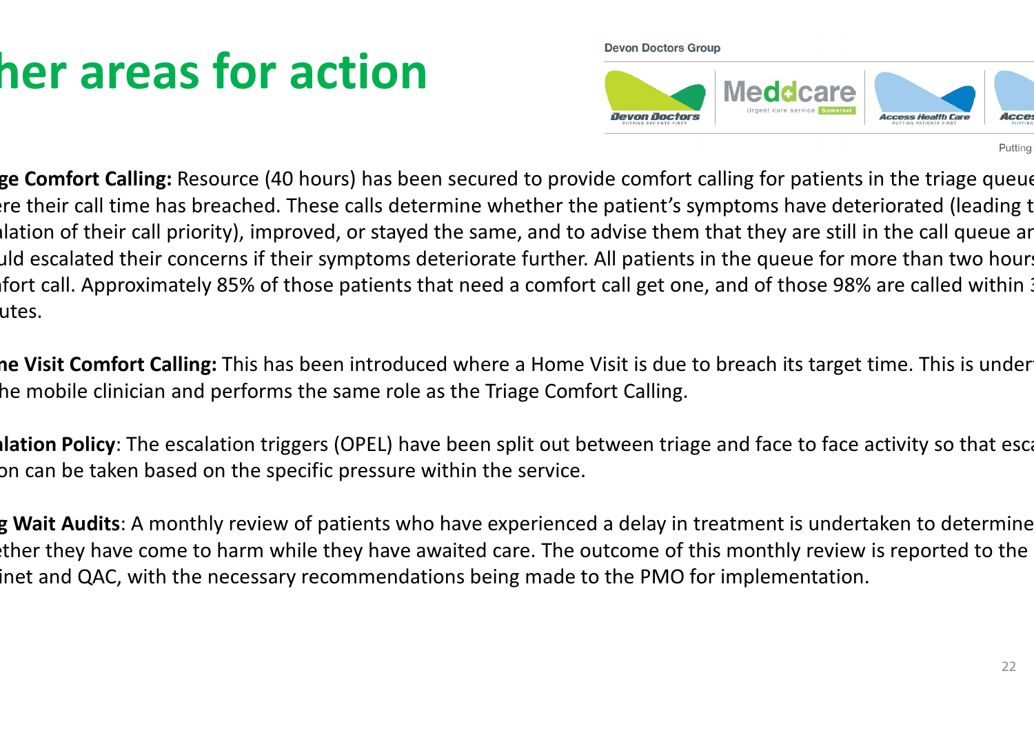# her areas for action

**Devon Doctors Group** 



Putting

ge Comfort Calling: Resource (40 hours) has been secured to provide comfort calling for patients in the triage queue re their call time has breached. These calls determine whether the patient's symptoms have deteriorated (leading t Ilation of their call priority), improved, or stayed the same, and to advise them that they are still in the call queue ar uld escalated their concerns if their symptoms deteriorate further. All patients in the queue for more than two hours ifort call. Approximately 85% of those patients that need a comfort call get one, and of those 98% are called within utes.

**ne Visit Comfort Calling:** This has been introduced where a Home Visit is due to breach its target time. This is under he mobile clinician and performs the same role as the Triage Comfort Calling.

Ilation Policy: The escalation triggers (OPEL) have been split out between triage and face to face activity so that esca on can be taken based on the specific pressure within the service.

g Wait Audits: A monthly review of patients who have experienced a delay in treatment is undertaken to determine ther they have come to harm while they have awaited care. The outcome of this monthly review is reported to the inet and QAC, with the necessary recommendations being made to the PMO for implementation.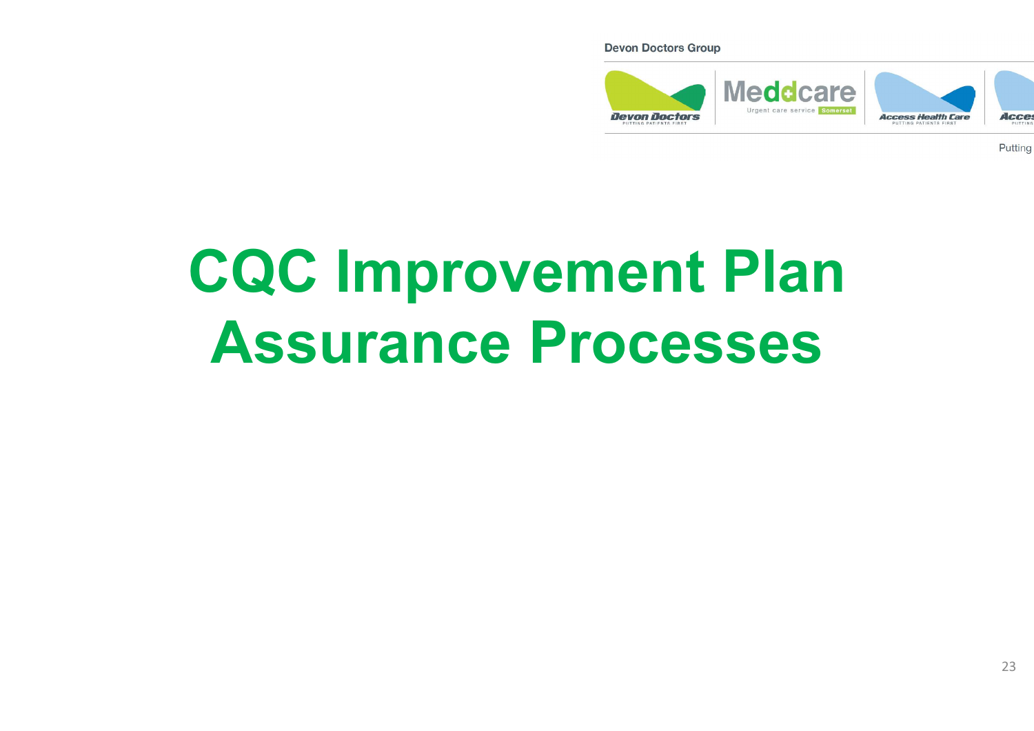**Devon Doctors Group** 



Putting

# CQC Improvement PlanAssurance Processes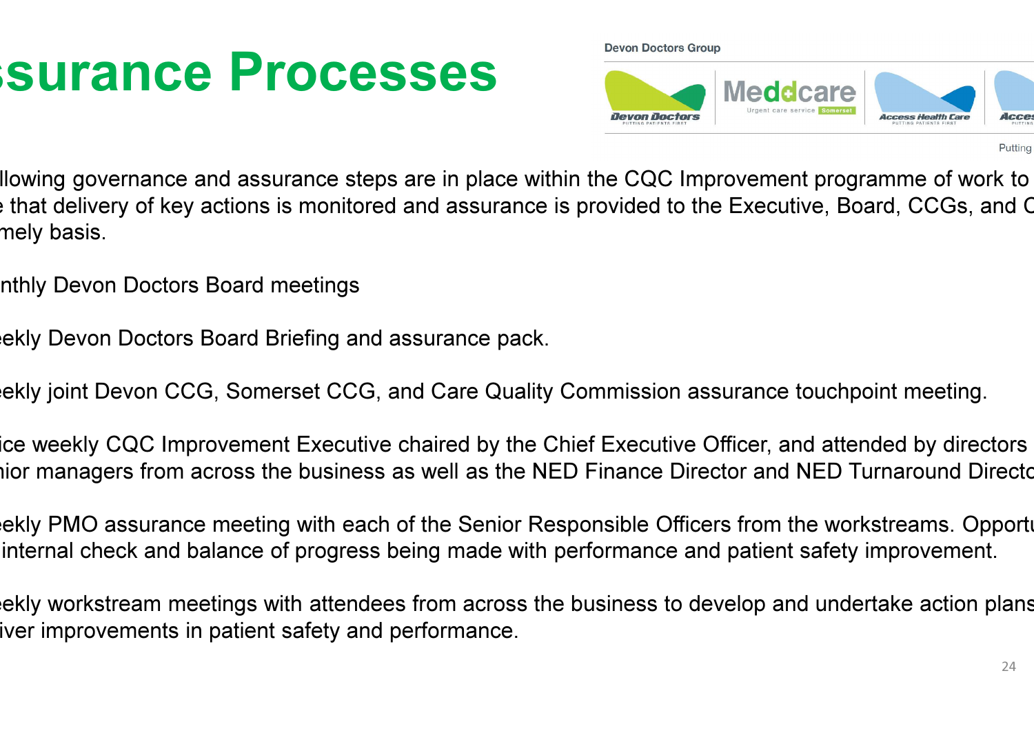### **Surance Processes**

**Devon Doctors Group** 



Putting

Ilowing governance and assurance steps are in place within the CQC Improvement programme of work to that delivery of key actions is monitored and assurance is provided to the Executive, Board, CCGs, and C mely basis.

- nthly Devon Doctors Board meetings
- ekly Devon Doctors Board Briefing and assurance pack.
- ekly joint Devon CCG, Somerset CCG, and Care Quality Commission assurance touchpoint meeting.
- ice weekly CQC Improvement Executive chaired by the Chief Executive Officer, and attended by directors hior managers from across the business as well as the NED Finance Director and NED Turnaround Directo
- ekly PMO assurance meeting with each of the Senior Responsible Officers from the workstreams. Opporti internal check and balance of progress being made with performance and patient safety improvement.
- ekly workstream meetings with attendees from across the business to develop and undertake action plans iver improvements in patient safety and performance.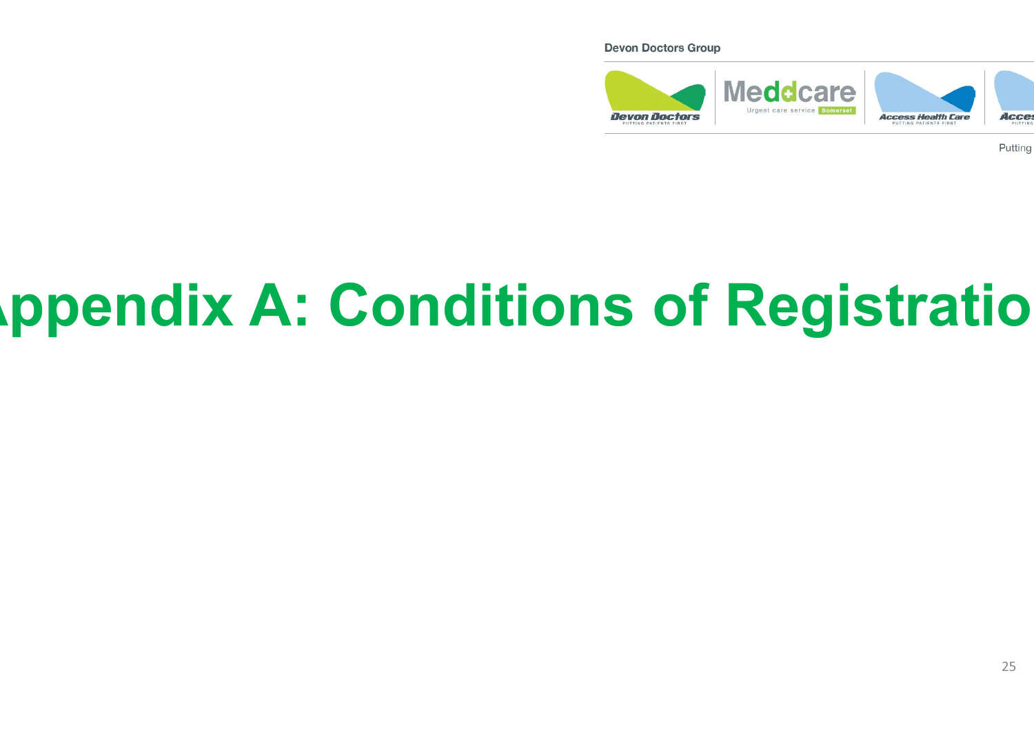#### **Devon Doctors Group**



Putting

# **Appendix A: Conditions of Registration**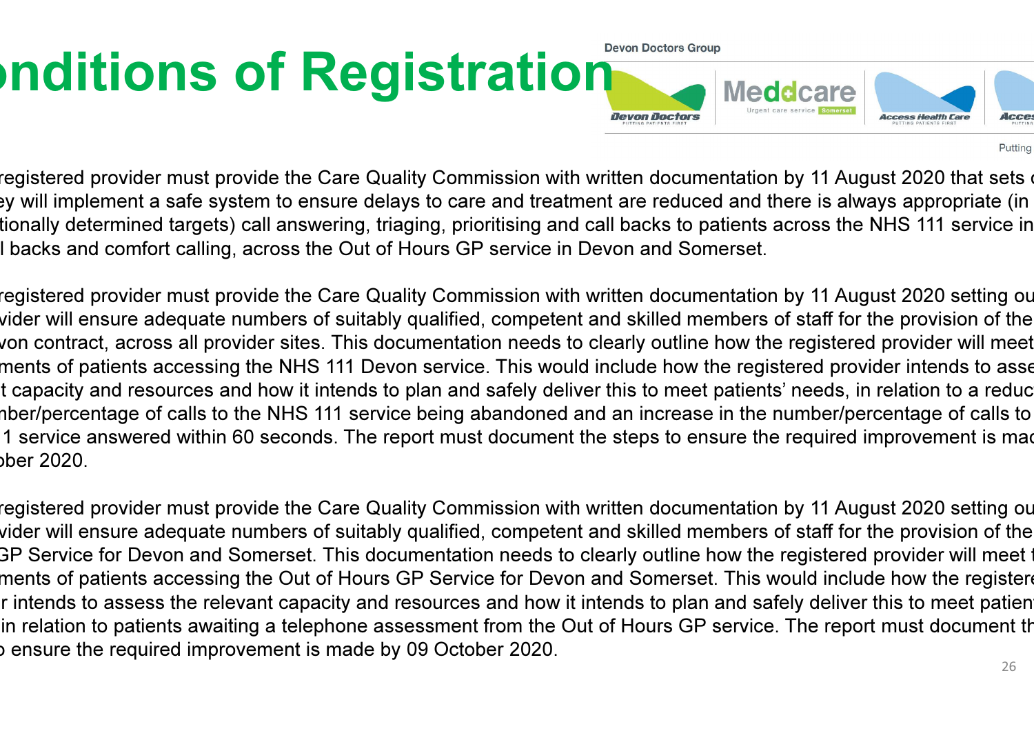#### **Inditions of Registration** Meddcare **Devon Doctors** Acces

Putting

registered provider must provide the Care Quality Commission with written documentation by 11 August 2020 that sets o ey will implement a safe system to ensure delays to care and treatment are reduced and there is always appropriate (in tionally determined targets) call answering, triaging, prioritising and call backs to patients across the NHS 111 service in<br>. I backs and comfort calling, across the Out of Hours GP service in Devon and Somerset.

registered provider must provide the Care Quality Commission with written documentation by 11 August 2020 setting ou vider will ensure adequate numbers of suitably qualified, competent and skilled members of staff for the provision of the von contract, across all provider sites. This documentation needs to clearly outline how the registered provider will meet ments of patients accessing the NHS 111 Devon service. This would include how the registered provider intends to asse t capacity and resources and how it intends to plan and safely deliver this to meet patients' needs, in relation to a reduc nber/percentage of calls to the NHS 111 service being abandoned and an increase in the number/percentage of calls to 1 service answered within 60 seconds. The report must document the steps to ensure the required improvement is mad ber 2020.

registered provider must provide the Care Quality Commission with written documentation by 11 August 2020 setting ou vider will ensure adequate numbers of suitably qualified, competent and skilled members of staff for the provision of the 3P Service for Devon and Somerset. This documentation needs to clearly outline how the registered provider will meet t ments of patients accessing the Out of Hours GP Service for Devon and Somerset. This would include how the registere r intends to assess the relevant capacity and resources and how it intends to plan and safely deliver this to meet patien in relation to patients awaiting a telephone assessment from the Out of Hours GP service. The report must document th s ensure the required improvement is made by 09 October 2020.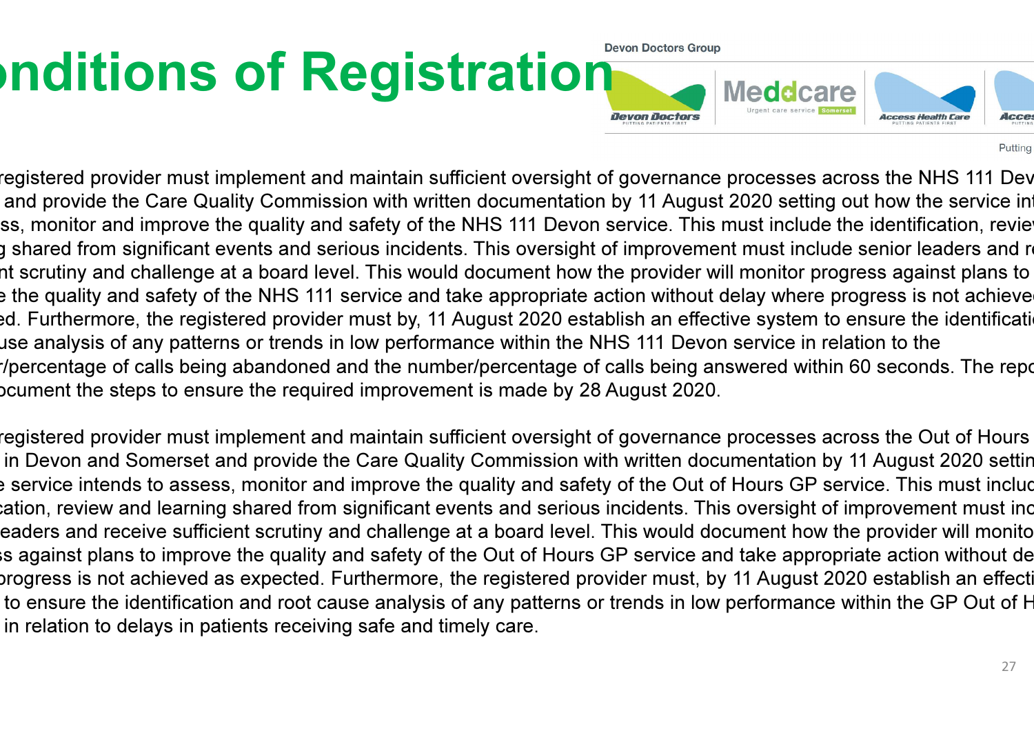#### **Inditions of Registration** Meddcare **Devon Doctors** Acces

Putting

registered provider must implement and maintain sufficient oversight of governance processes across the NHS 111 Dev and provide the Care Quality Commission with written documentation by 11 August 2020 setting out how the service in ss, monitor and improve the quality and safety of the NHS 111 Devon service. This must include the identification, revie g shared from significant events and serious incidents. This oversight of improvement must include senior leaders and r nt scrutiny and challenge at a board level. This would document how the provider will monitor progress against plans to e the quality and safety of the NHS 111 service and take appropriate action without delay where progress is not achieve ed. Furthermore, the registered provider must by, 11 August 2020 establish an effective system to ensure the identificati use analysis of any patterns or trends in low performance within the NHS 111 Devon service in relation to the r/percentage of calls being abandoned and the number/percentage of calls being answered within 60 seconds. The repo boument the steps to ensure the required improvement is made by 28 August 2020.

registered provider must implement and maintain sufficient oversight of governance processes across the Out of Hours in Devon and Somerset and provide the Care Quality Commission with written documentation by 11 August 2020 settin e service intends to assess, monitor and improve the quality and safety of the Out of Hours GP service. This must includ cation, review and learning shared from significant events and serious incidents. This oversight of improvement must inc eaders and receive sufficient scrutiny and challenge at a board level. This would document how the provider will monito is against plans to improve the quality and safety of the Out of Hours GP service and take appropriate action without de progress is not achieved as expected. Furthermore, the registered provider must, by 11 August 2020 establish an effecti to ensure the identification and root cause analysis of any patterns or trends in low performance within the GP Out of H in relation to delays in patients receiving safe and timely care.